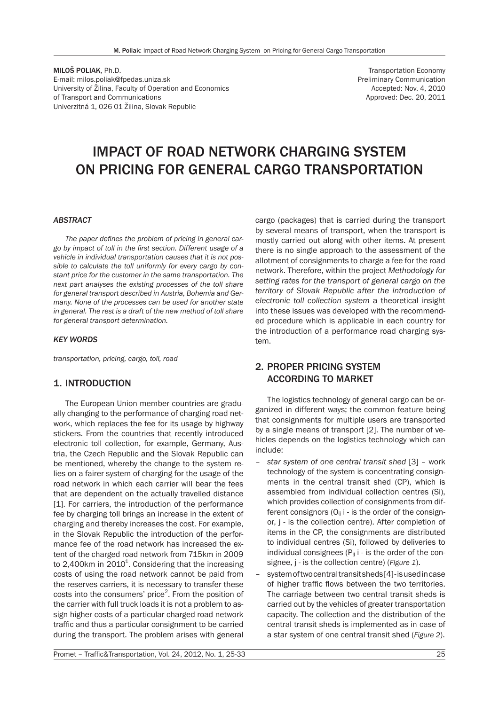MILOŠ POLIAK, Ph.D. E-mail: milos.poliak@fpedas.uniza.sk University of Žilina, Faculty of Operation and Economics of Transport and Communications Univerzitná 1, 026 01 Žilina, Slovak Republic

Transportation Economy Preliminary Communication Accepted: Nov. 4, 2010 Approved: Dec. 20, 2011

# IMPACT OF ROAD NETWORK CHARGING SYSTEM ON PRICING FOR GENERAL CARGO TRANSPORTATION

#### *ABSTRACT*

*The paper defines the problem of pricing in general cargo by impact of toll in the first section. Different usage of a vehicle in individual transportation causes that it is not possible to calculate the toll uniformly for every cargo by constant price for the customer in the same transportation. The next part analyses the existing processes of the toll share for general transport described in Austria, Bohemia and Germany. None of the processes can be used for another state in general. The rest is a draft of the new method of toll share for general transport determination.*

#### *KEY WORDS*

*transportation, pricing, cargo, toll, road*

#### 1. INTRODUCTION

The European Union member countries are gradually changing to the performance of charging road network, which replaces the fee for its usage by highway stickers. From the countries that recently introduced electronic toll collection, for example, Germany, Austria, the Czech Republic and the Slovak Republic can be mentioned, whereby the change to the system relies on a fairer system of charging for the usage of the road network in which each carrier will bear the fees that are dependent on the actually travelled distance [1]. For carriers, the introduction of the performance fee by charging toll brings an increase in the extent of charging and thereby increases the cost. For example, in the Slovak Republic the introduction of the performance fee of the road network has increased the extent of the charged road network from 715km in 2009 to 2,400km in 2010<sup>1</sup>. Considering that the increasing costs of using the road network cannot be paid from the reserves carriers, it is necessary to transfer these costs into the consumers' price<sup>2</sup>. From the position of the carrier with full truck loads it is not a problem to assign higher costs of a particular charged road network traffic and thus a particular consignment to be carried during the transport. The problem arises with general

cargo (packages) that is carried during the transport by several means of transport, when the transport is mostly carried out along with other items. At present there is no single approach to the assessment of the allotment of consignments to charge a fee for the road network. Therefore, within the project *Methodology for setting rates for the transport of general cargo on the territory of Slovak Republic after the introduction of electronic toll collection system* a theoretical insight into these issues was developed with the recommended procedure which is applicable in each country for the introduction of a performance road charging system.

# 2. PROPER PRICING SYSTEM ACCORDING TO MARKET

The logistics technology of general cargo can be organized in different ways; the common feature being that consignments for multiple users are transported by a single means of transport [2]. The number of vehicles depends on the logistics technology which can include:

- *star system of one central transit shed* [3] work technology of the system is concentrating consignments in the central transit shed (CP), which is assembled from individual collection centres (Si), which provides collection of consignments from different consignors  $(O_{ii} i - is$  the order of the consignor, j - is the collection centre). After completion of items in the CP, the consignments are distributed to individual centres (Si), followed by deliveries to individual consignees ( $P_{ii}$  i - is the order of the consignee, j - is the collection centre) (*Figure 1*).
- system of two central transit sheds [4] is used in case of higher traffic flows between the two territories. The carriage between two central transit sheds is carried out by the vehicles of greater transportation capacity. The collection and the distribution of the central transit sheds is implemented as in case of a star system of one central transit shed (*Figure 2*).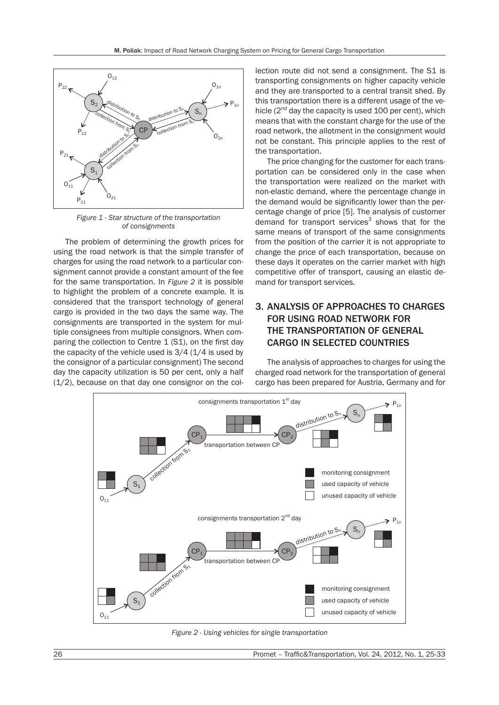

*Figure 1 - Star structure of the transportation of consignments*

The problem of determining the growth prices for using the road network is that the simple transfer of charges for using the road network to a particular consignment cannot provide a constant amount of the fee for the same transportation. In *Figure 2* it is possible to highlight the problem of a concrete example. It is considered that the transport technology of general cargo is provided in the two days the same way. The consignments are transported in the system for multiple consignees from multiple consignors. When comparing the collection to Centre 1 (S1), on the first day the capacity of the vehicle used is  $3/4$  ( $1/4$  is used by the consignor of a particular consignment) The second day the capacity utilization is 50 per cent, only a half (1/2), because on that day one consignor on the col-

lection route did not send a consignment. The S1 is transporting consignments on higher capacity vehicle and they are transported to a central transit shed. By this transportation there is a different usage of the vehicle  $(2^{nd}$  day the capacity is used 100 per cent), which means that with the constant charge for the use of the road network, the allotment in the consignment would not be constant. This principle applies to the rest of the transportation.

The price changing for the customer for each transportation can be considered only in the case when the transportation were realized on the market with non-elastic demand, where the percentage change in the demand would be significantly lower than the percentage change of price [5]. The analysis of customer demand for transport services $3$  shows that for the same means of transport of the same consignments from the position of the carrier it is not appropriate to change the price of each transportation, because on these days it operates on the carrier market with high competitive offer of transport, causing an elastic demand for transport services.

# 3. ANALYSIS OF APPROACHES TO CHARGES FOR USING ROAD NETWORK FOR THE TRANSPORTATION OF GENERAL CARGO IN SELECTED COUNTRIES

The analysis of approaches to charges for using the charged road network for the transportation of general cargo has been prepared for Austria, Germany and for



*Figure 2 - Using vehicles for single transportation*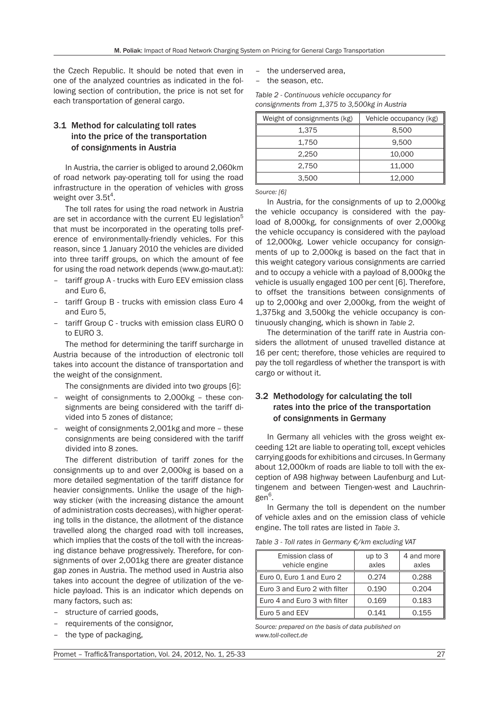the Czech Republic. It should be noted that even in one of the analyzed countries as indicated in the following section of contribution, the price is not set for each transportation of general cargo.

# 3.1 Method for calculating toll rates into the price of the transportation of consignments in Austria

In Austria, the carrier is obliged to around 2,060km of road network pay-operating toll for using the road infrastructure in the operation of vehicles with gross weight over  $3.5t^4$ .

The toll rates for using the road network in Austria are set in accordance with the current EU legislation<sup>5</sup> that must be incorporated in the operating tolls preference of environmentally-friendly vehicles. For this reason, since 1 January 2010 the vehicles are divided into three tariff groups, on which the amount of fee for using the road network depends (www.go-maut.at):

- tariff group A trucks with Euro EEV emission class and Euro 6,
- tariff Group B trucks with emission class Euro 4 and Euro 5,
- tariff Group C trucks with emission class EURO 0 to EURO 3.

The method for determining the tariff surcharge in Austria because of the introduction of electronic toll takes into account the distance of transportation and the weight of the consignment.

The consignments are divided into two groups [6]:

- weight of consignments to 2,000kg these consignments are being considered with the tariff divided into 5 zones of distance;
- weight of consignments 2,001kg and more these consignments are being considered with the tariff divided into 8 zones.

The different distribution of tariff zones for the consignments up to and over 2,000kg is based on a more detailed segmentation of the tariff distance for heavier consignments. Unlike the usage of the highway sticker (with the increasing distance the amount of administration costs decreases), with higher operating tolls in the distance, the allotment of the distance travelled along the charged road with toll increases, which implies that the costs of the toll with the increasing distance behave progressively. Therefore, for consignments of over 2,001kg there are greater distance gap zones in Austria. The method used in Austria also takes into account the degree of utilization of the vehicle payload. This is an indicator which depends on many factors, such as:

- structure of carried goods,
- requirements of the consignor,
- the type of packaging,
- the underserved area,
- the season, etc.

*Table 2 - Continuous vehicle occupancy for consignments from 1,375 to 3,500kg in Austria*

| Weight of consignments (kg) | Vehicle occupancy (kg) |  |  |
|-----------------------------|------------------------|--|--|
| 1,375                       | 8,500                  |  |  |
| 1.750                       | 9.500                  |  |  |
| 2.250                       | 10,000                 |  |  |
| 2.750                       | 11,000                 |  |  |
| 3,500                       | 12,000                 |  |  |

*Source: [6]*

In Austria, for the consignments of up to 2,000kg the vehicle occupancy is considered with the payload of 8,000kg, for consignments of over 2,000kg the vehicle occupancy is considered with the payload of 12,000kg. Lower vehicle occupancy for consignments of up to 2,000kg is based on the fact that in this weight category various consignments are carried and to occupy a vehicle with a payload of 8,000kg the vehicle is usually engaged 100 per cent [6]. Therefore, to offset the transitions between consignments of up to 2,000kg and over 2,000kg, from the weight of 1,375kg and 3,500kg the vehicle occupancy is continuously changing, which is shown in *Table 2*.

The determination of the tariff rate in Austria considers the allotment of unused travelled distance at 16 per cent; therefore, those vehicles are required to pay the toll regardless of whether the transport is with cargo or without it.

## 3.2 Methodology for calculating the toll rates into the price of the transportation of consignments in Germany

In Germany all vehicles with the gross weight exceeding 12t are liable to operating toll, except vehicles carrying goods for exhibitions and circuses. In Germany about 12,000km of roads are liable to toll with the exception of A98 highway between Laufenburg and Luttingenem and between Tiengen-west and Lauchringen<sup>6</sup>.

In Germany the toll is dependent on the number of vehicle axles and on the emission class of vehicle engine. The toll rates are listed in *Table 3*.

*Table 3 - Toll rates in Germany €/km excluding VAT*

| Emission class of             | up to $3$ | 4 and more |
|-------------------------------|-----------|------------|
| vehicle engine                | axles     | axles      |
| Euro 0, Euro 1 and Euro 2     | 0.274     | 0.288      |
| Euro 3 and Euro 2 with filter | 0.190     | 0.204      |
| Euro 4 and Euro 3 with filter | 0.169     | 0.183      |
| Euro 5 and EEV                | 0.141     | 0.155      |

*Source: prepared on the basis of data published on www.toll-collect.de*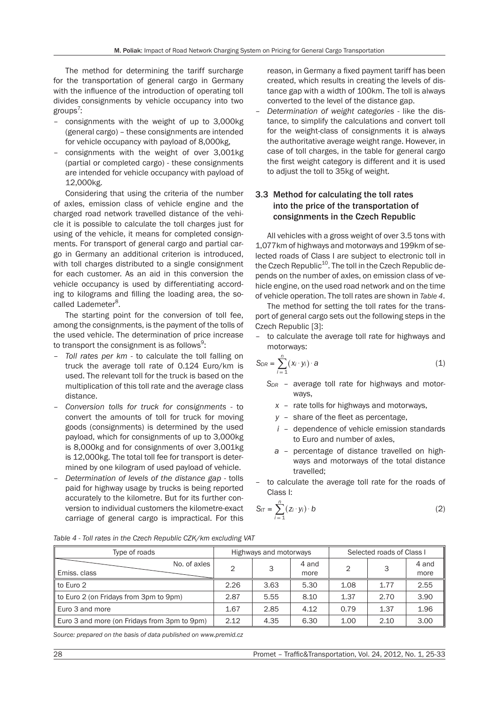The method for determining the tariff surcharge for the transportation of general cargo in Germany with the influence of the introduction of operating toll divides consignments by vehicle occupancy into two groups<sup>7</sup>:

- consignments with the weight of up to 3,000kg (general cargo) – these consignments are intended for vehicle occupancy with payload of 8,000kg,
- consignments with the weight of over 3,001kg (partial or completed cargo) - these consignments are intended for vehicle occupancy with payload of 12,000kg.

Considering that using the criteria of the number of axles, emission class of vehicle engine and the charged road network travelled distance of the vehicle it is possible to calculate the toll charges just for using of the vehicle, it means for completed consignments. For transport of general cargo and partial cargo in Germany an additional criterion is introduced, with toll charges distributed to a single consignment for each customer. As an aid in this conversion the vehicle occupancy is used by differentiating according to kilograms and filling the loading area, the socalled Lademeter<sup>8</sup>.

The starting point for the conversion of toll fee, among the consignments, is the payment of the tolls of the used vehicle. The determination of price increase to transport the consignment is as follows $^9\!:\,$ 

- *Toll rates per km* to calculate the toll falling on truck the average toll rate of 0.124 Euro/km is used. The relevant toll for the truck is based on the multiplication of this toll rate and the average class distance.
- *Conversion tolls for truck for consignments* to convert the amounts of toll for truck for moving goods (consignments) is determined by the used payload, which for consignments of up to 3,000kg is 8,000kg and for consignments of over 3,001kg is 12,000kg. The total toll fee for transport is determined by one kilogram of used payload of vehicle.
- *Determination of levels of the distance gap* tolls paid for highway usage by trucks is being reported accurately to the kilometre. But for its further conversion to individual customers the kilometre-exact carriage of general cargo is impractical. For this

reason, in Germany a fixed payment tariff has been created, which results in creating the levels of distance gap with a width of 100km. The toll is always converted to the level of the distance gap.

– *Determination of weight categories* - like the distance, to simplify the calculations and convert toll for the weight-class of consignments it is always the authoritative average weight range. However, in case of toll charges, in the table for general cargo the first weight category is different and it is used to adjust the toll to 35kg of weight.

## 3.3 Method for calculating the toll rates into the price of the transportation of consignments in the Czech Republic

All vehicles with a gross weight of over 3.5 tons with 1,077km of highways and motorways and 199km of selected roads of Class I are subject to electronic toll in the Czech Republic<sup>10</sup>. The toll in the Czech Republic depends on the number of axles, on emission class of vehicle engine, on the used road network and on the time of vehicle operation. The toll rates are shown in *Table 4*.

The method for setting the toll rates for the transport of general cargo sets out the following steps in the Czech Republic [3]:

– to calculate the average toll rate for highways and motorways:

$$
S_{DR} = \sum_{i=1}^{n} (x_i \cdot y_i) \cdot a \tag{1}
$$

- *S<sub>DR</sub>* average toll rate for highways and motorways,
	- *x* rate tolls for highways and motorways,
	- *y* share of the fleet as percentage,
	- *i* dependence of vehicle emission standards to Euro and number of axles,
	- *a* percentage of distance travelled on highways and motorways of the total distance travelled;
- to calculate the average toll rate for the roads of Class I:

$$
S_{iT} = \sum_{i=1}^{n} (z_i \cdot y_i) \cdot b \tag{2}
$$

|  |  |  |  |  | Table 4 - Toll rates in the Czech Republic CZK/km excluding VAT |
|--|--|--|--|--|-----------------------------------------------------------------|
|--|--|--|--|--|-----------------------------------------------------------------|

| Type of roads                                | Highways and motorways |      |               | Selected roads of Class I |      |               |
|----------------------------------------------|------------------------|------|---------------|---------------------------|------|---------------|
| No. of axles<br>Emiss. class                 | $\mathcal{D}$          |      | 4 and<br>more | 2                         | З    | 4 and<br>more |
| $\parallel$ to Euro 2                        | 2.26                   | 3.63 | 5.30          | 1.08                      | 1.77 | 2.55          |
| to Euro 2 (on Fridays from 3pm to 9pm)       | 2.87                   | 5.55 | 8.10          | 1.37                      | 2.70 | 3.90          |
| Euro 3 and more                              | 1.67                   | 2.85 | 4.12          | 0.79                      | 1.37 | 1.96          |
| Euro 3 and more (on Fridays from 3pm to 9pm) | 2.12                   | 4.35 | 6.30          | 1.00                      | 2.10 | 3.00          |

*Source: prepared on the basis of data published on www.premid.cz*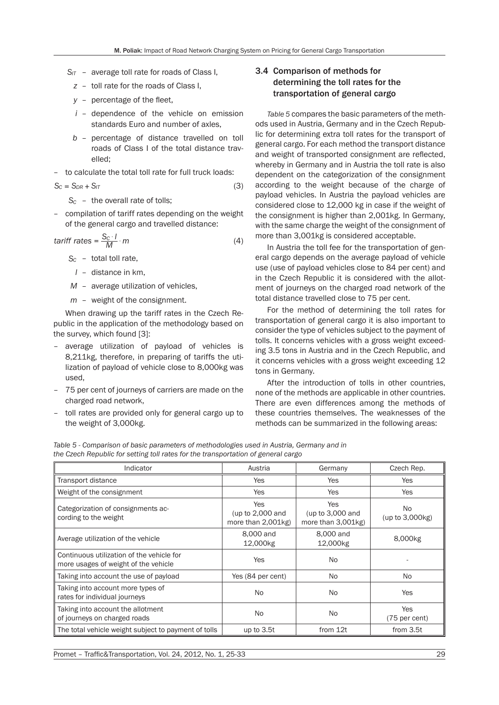- *SIT* average toll rate for roads of Class I,
	- *z* toll rate for the roads of Class I,
	- *y* percentage of the fleet,
	- *i* dependence of the vehicle on emission standards Euro and number of axles,
	- *b* percentage of distance travelled on toll roads of Class I of the total distance travelled;
- to calculate the total toll rate for full truck loads:

$$
S_C = S_{DR} + S_{IT} \tag{3}
$$

- *SC* the overall rate of tolls;
- compilation of tariff rates depending on the weight of the general cargo and travelled distance:

$$
tariff rates = \frac{S_c \cdot l}{M} \cdot m \tag{4}
$$

- *SC* total toll rate,
- *l* distance in km,
- *M* average utilization of vehicles,
- *m* weight of the consignment.

When drawing up the tariff rates in the Czech Republic in the application of the methodology based on the survey, which found [3]:

- average utilization of payload of vehicles is 8,211kg, therefore, in preparing of tariffs the utilization of payload of vehicle close to 8,000kg was used,
- 75 per cent of journeys of carriers are made on the charged road network,
- toll rates are provided only for general cargo up to the weight of 3,000kg.

## 3.4 Comparison of methods for determining the toll rates for the transportation of general cargo

*Table 5* compares the basic parameters of the methods used in Austria, Germany and in the Czech Republic for determining extra toll rates for the transport of general cargo. For each method the transport distance and weight of transported consignment are reflected, whereby in Germany and in Austria the toll rate is also dependent on the categorization of the consignment according to the weight because of the charge of payload vehicles. In Austria the payload vehicles are considered close to 12,000 kg in case if the weight of the consignment is higher than 2,001kg. In Germany, with the same charge the weight of the consignment of more than 3,001kg is considered acceptable.

In Austria the toll fee for the transportation of general cargo depends on the average payload of vehicle use (use of payload vehicles close to 84 per cent) and in the Czech Republic it is considered with the allotment of journeys on the charged road network of the total distance travelled close to 75 per cent.

For the method of determining the toll rates for transportation of general cargo it is also important to consider the type of vehicles subject to the payment of tolls. It concerns vehicles with a gross weight exceeding 3.5 tons in Austria and in the Czech Republic, and it concerns vehicles with a gross weight exceeding 12 tons in Germany.

After the introduction of tolls in other countries, none of the methods are applicable in other countries. There are even differences among the methods of these countries themselves. The weaknesses of the methods can be summarized in the following areas:

*Table 5 - Comparison of basic parameters of methodologies used in Austria, Germany and in the Czech Republic for setting toll rates for the transportation of general cargo*

| Indicator                                                                         | Austria                                                             | Germany                                                             | Czech Rep.                    |  |
|-----------------------------------------------------------------------------------|---------------------------------------------------------------------|---------------------------------------------------------------------|-------------------------------|--|
| Transport distance                                                                | Yes                                                                 | <b>Yes</b>                                                          | Yes                           |  |
| Weight of the consignment                                                         | <b>Yes</b>                                                          | <b>Yes</b>                                                          | <b>Yes</b>                    |  |
| Categorization of consignments ac-<br>cording to the weight                       | <b>Yes</b><br>(up to 2,000 and<br>more than $2,001$ <sub>kg</sub> ) | <b>Yes</b><br>(up to 3,000 and<br>more than $3,001$ <sub>kg</sub> ) | No.<br>(up to 3,000kg)        |  |
| Average utilization of the vehicle                                                | 8,000 and<br>12,000kg                                               | 8,000 and<br>12,000kg                                               | 8,000kg                       |  |
| Continuous utilization of the vehicle for<br>more usages of weight of the vehicle | Yes                                                                 | <b>No</b>                                                           |                               |  |
| Taking into account the use of payload                                            | Yes (84 per cent)                                                   | No.                                                                 | <b>No</b>                     |  |
| Taking into account more types of<br>rates for individual journeys                | No.<br>No.                                                          |                                                                     | Yes                           |  |
| Taking into account the allotment<br>of journeys on charged roads                 | No.                                                                 | <b>No</b>                                                           | <b>Yes</b><br>$(75$ per cent) |  |
| The total vehicle weight subject to payment of tolls                              | up to 3.5t                                                          | from 12t                                                            | from 3.5t                     |  |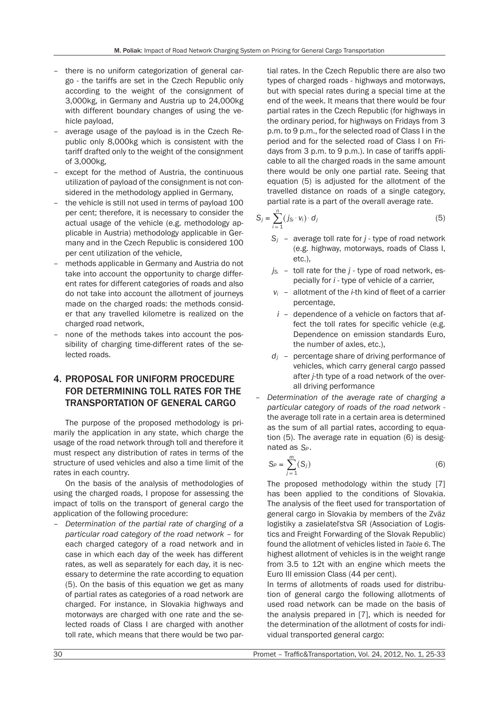- there is no uniform categorization of general cargo - the tariffs are set in the Czech Republic only according to the weight of the consignment of 3,000kg, in Germany and Austria up to 24,000kg with different boundary changes of using the vehicle payload,
- average usage of the payload is in the Czech Republic only 8,000kg which is consistent with the tariff drafted only to the weight of the consignment of 3,000kg,
- except for the method of Austria, the continuous utilization of payload of the consignment is not considered in the methodology applied in Germany,
- the vehicle is still not used in terms of payload 100 per cent; therefore, it is necessary to consider the actual usage of the vehicle (e.g. methodology applicable in Austria) methodology applicable in Germany and in the Czech Republic is considered 100 per cent utilization of the vehicle,
- methods applicable in Germany and Austria do not take into account the opportunity to charge different rates for different categories of roads and also do not take into account the allotment of journeys made on the charged roads: the methods consider that any travelled kilometre is realized on the charged road network,
- none of the methods takes into account the possibility of charging time-different rates of the selected roads.

# 4. PROPOSAL FOR UNIFORM PROCEDURE FOR DETERMINING TOLL RATES FOR THE TRANSPORTATION OF GENERAL CARGO

The purpose of the proposed methodology is primarily the application in any state, which charge the usage of the road network through toll and therefore it must respect any distribution of rates in terms of the structure of used vehicles and also a time limit of the rates in each country.

On the basis of the analysis of methodologies of using the charged roads, I propose for assessing the impact of tolls on the transport of general cargo the application of the following procedure:

– *Determination of the partial rate of charging of a particular road category of the road network* – for each charged category of a road network and in case in which each day of the week has different rates, as well as separately for each day, it is necessary to determine the rate according to equation (5). On the basis of this equation we get as many of partial rates as categories of a road network are charged. For instance, in Slovakia highways and motorways are charged with one rate and the selected roads of Class I are charged with another toll rate, which means that there would be two partial rates. In the Czech Republic there are also two types of charged roads - highways and motorways, but with special rates during a special time at the end of the week. It means that there would be four partial rates in the Czech Republic (for highways in the ordinary period, for highways on Fridays from 3 p.m. to 9 p.m., for the selected road of Class I in the period and for the selected road of Class I on Fridays from 3 p.m. to 9 p.m.). In case of tariffs applicable to all the charged roads in the same amount there would be only one partial rate. Seeing that equation (5) is adjusted for the allotment of the travelled distance on roads of a single category, partial rate is a part of the overall average rate.

$$
S_j = \sum_{i=1}^n (j_{S_i} \cdot v_i) \cdot d_j \tag{5}
$$

- *Sj* average toll rate for *j* type of road network (e.g. highway, motorways, roads of Class I, etc.),
- $j_{S_i}$  toll rate for the  $j$  type of road network, especially for *i* - type of vehicle of a carrier,
- *vi* allotment of the *i*-th kind of fleet of a carrier percentage,
- *i* dependence of a vehicle on factors that affect the toll rates for specific vehicle (e.g. Dependence on emission standards Euro, the number of axles, etc.),
- *dj* percentage share of driving performance of vehicles, which carry general cargo passed after *j*-th type of a road network of the overall driving performance
- *Determination of the average rate of charging a particular category of roads of the road network* the average toll rate in a certain area is determined as the sum of all partial rates, according to equation (5). The average rate in equation (6) is designated as *S<sub>p</sub>*

$$
S_P = \sum_{j=1}^{m} (S_j)
$$
 (6)

The proposed methodology within the study [7] has been applied to the conditions of Slovakia. The analysis of the fleet used for transportation of general cargo in Slovakia by members of the Zväz logistiky a zasielateľstva SR (Association of Logistics and Freight Forwarding of the Slovak Republic) found the allotment of vehicles listed in *Table 6*. The highest allotment of vehicles is in the weight range from 3.5 to 12t with an engine which meets the Euro III emission Class (44 per cent).

In terms of allotments of roads used for distribution of general cargo the following allotments of used road network can be made on the basis of the analysis prepared in [7], which is needed for the determination of the allotment of costs for individual transported general cargo: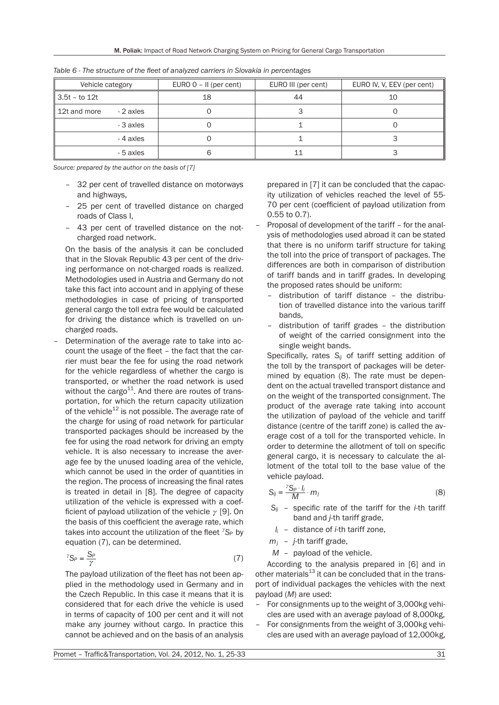| Vehicle category |           | EURO $0 - II$ (per cent) | EURO III (per cent) | EURO IV, V, EEV (per cent) |
|------------------|-----------|--------------------------|---------------------|----------------------------|
| 3.5t – to 12t    |           | 18                       | 44                  | 10                         |
| 12t and more     | - 2 axles |                          |                     |                            |
|                  | - 3 axles |                          |                     |                            |
|                  | - 4 axles |                          |                     |                            |
|                  | - 5 axles |                          |                     |                            |

*Table 6 - The structure of the fleet of analyzed carriers in Slovakia in percentages*

*Source: prepared by the author on the basis of [7]*

- 32 per cent of travelled distance on motorways and highways,
- 25 per cent of travelled distance on charged roads of Class I,
- 43 per cent of travelled distance on the notcharged road network.

On the basis of the analysis it can be concluded that in the Slovak Republic 43 per cent of the driving performance on not-charged roads is realized. Methodologies used in Austria and Germany do not take this fact into account and in applying of these methodologies in case of pricing of transported general cargo the toll extra fee would be calculated for driving the distance which is travelled on uncharged roads.

– Determination of the average rate to take into account the usage of the fleet – the fact that the carrier must bear the fee for using the road network for the vehicle regardless of whether the cargo is transported, or whether the road network is used without the cargo $11$ . And there are routes of transportation, for which the return capacity utilization of the vehicle $^{12}$  is not possible. The average rate of the charge for using of road network for particular transported packages should be increased by the fee for using the road network for driving an empty vehicle. It is also necessary to increase the average fee by the unused loading area of the vehicle, which cannot be used in the order of quantities in the region. The process of increasing the final rates is treated in detail in [8]. The degree of capacity utilization of the vehicle is expressed with a coefficient of payload utilization of the vehicle  $\gamma$  [9]. On the basis of this coefficient the average rate, which takes into account the utilization of the fleet  ${}^{7}S_{P}$  by equation (7), can be determined.

$$
{}^{\gamma}S_P = \frac{S_P}{\gamma} \tag{7}
$$

The payload utilization of the fleet has not been applied in the methodology used in Germany and in the Czech Republic. In this case it means that it is considered that for each drive the vehicle is used in terms of capacity of 100 per cent and it will not make any journey without cargo. In practice this cannot be achieved and on the basis of an analysis

prepared in [7] it can be concluded that the capacity utilization of vehicles reached the level of 55- 70 per cent (coefficient of payload utilization from 0.55 to 0.7).

- Proposal of development of the tariff for the analysis of methodologies used abroad it can be stated that there is no uniform tariff structure for taking the toll into the price of transport of packages. The differences are both in comparison of distribution of tariff bands and in tariff grades. In developing the proposed rates should be uniform:
	- distribution of tariff distance the distribution of travelled distance into the various tariff bands,
	- distribution of tariff grades the distribution of weight of the carried consignment into the single weight bands.

Specifically, rates S<sub>ij</sub> of tariff setting addition of the toll by the transport of packages will be determined by equation (8). The rate must be dependent on the actual travelled transport distance and on the weight of the transported consignment. The product of the average rate taking into account the utilization of payload of the vehicle and tariff distance (centre of the tariff zone) is called the average cost of a toll for the transported vehicle. In order to determine the allotment of toll on specific general cargo, it is necessary to calculate the allotment of the total toll to the base value of the vehicle payload.

$$
S_{ij} = \frac{r_{S_P \cdot l_i}}{M} \cdot m_j \tag{8}
$$

- *Sij* specific rate of the tariff for the *i*-th tariff band and *j*-th tariff grade,
- *li* distance of *i*-th tariff zone,
- *mj j*-th tariff grade,
- *M* payload of the vehicle.

According to the analysis prepared in [6] and in other materials $^{13}$  it can be concluded that in the transport of individual packages the vehicles with the next payload (*M*) are used:

- For consignments up to the weight of 3,000kg vehicles are used with an average payload of 8,000kg,
- For consignments from the weight of 3,000kg vehicles are used with an average payload of 12,000kg,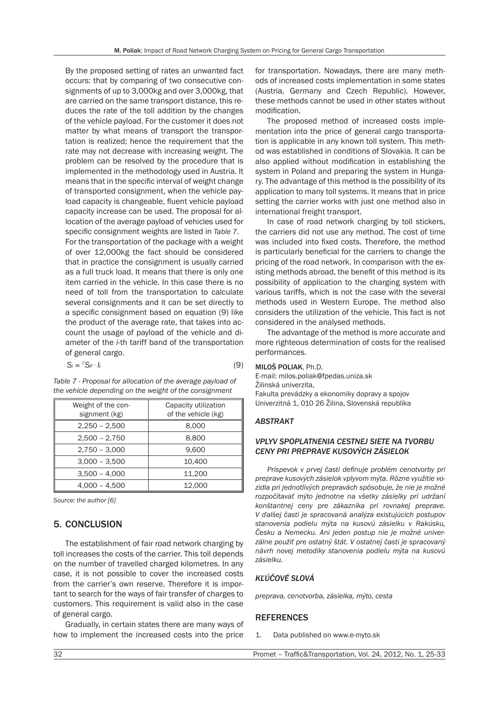By the proposed setting of rates an unwanted fact occurs: that by comparing of two consecutive consignments of up to 3,000kg and over 3,000kg, that are carried on the same transport distance, this reduces the rate of the toll addition by the changes of the vehicle payload. For the customer it does not matter by what means of transport the transportation is realized; hence the requirement that the rate may not decrease with increasing weight. The problem can be resolved by the procedure that is implemented in the methodology used in Austria. It means that in the specific interval of weight change of transported consignment, when the vehicle payload capacity is changeable, fluent vehicle payload capacity increase can be used. The proposal for allocation of the average payload of vehicles used for specific consignment weights are listed in *Table 7*. For the transportation of the package with a weight of over 12,000kg the fact should be considered that in practice the consignment is usually carried as a full truck load. It means that there is only one item carried in the vehicle. In this case there is no need of toll from the transportation to calculate several consignments and it can be set directly to a specific consignment based on equation (9) like the product of the average rate, that takes into account the usage of payload of the vehicle and diameter of the *i*-th tariff band of the transportation of general cargo.

$$
S_i = {}^{\gamma}S_P \cdot I_i \tag{9}
$$

*Table 7 - Proposal for allocation of the average payload of the vehicle depending on the weight of the consignment*

| Weight of the con- | Capacity utilization |  |  |
|--------------------|----------------------|--|--|
| signment (kg)      | of the vehicle (kg)  |  |  |
| $2,250 - 2,500$    | 8.000                |  |  |
| $2,500 - 2,750$    | 8,800                |  |  |
| $2,750 - 3,000$    | 9.600                |  |  |
| $3,000 - 3,500$    | 10.400               |  |  |
| $3,500 - 4,000$    | 11.200               |  |  |
| $4,000 - 4,500$    | 12,000               |  |  |

*Source: the author [6]*

### 5. CONCLUSION

The establishment of fair road network charging by toll increases the costs of the carrier. This toll depends on the number of travelled charged kilometres. In any case, it is not possible to cover the increased costs from the carrier's own reserve. Therefore it is important to search for the ways of fair transfer of charges to customers. This requirement is valid also in the case of general cargo.

Gradually, in certain states there are many ways of how to implement the increased costs into the price for transportation. Nowadays, there are many methods of increased costs implementation in some states (Austria, Germany and Czech Republic). However, these methods cannot be used in other states without modification.

The proposed method of increased costs implementation into the price of general cargo transportation is applicable in any known toll system. This method was established in conditions of Slovakia. It can be also applied without modification in establishing the system in Poland and preparing the system in Hungary. The advantage of this method is the possibility of its application to many toll systems. It means that in price setting the carrier works with just one method also in international freight transport.

In case of road network charging by toll stickers, the carriers did not use any method. The cost of time was included into fixed costs. Therefore, the method is particularly beneficial for the carriers to change the pricing of the road network. In comparison with the existing methods abroad, the benefit of this method is its possibility of application to the charging system with various tariffs, which is not the case with the several methods used in Western Europe. The method also considers the utilization of the vehicle. This fact is not considered in the analysed methods.

The advantage of the method is more accurate and more righteous determination of costs for the realised performances.

#### MILOŠ POLIAK, Ph.D.

E-mail: milos.poliak@fpedas.uniza.sk Žilinská univerzita, Fakulta prevádzky a ekonomiky dopravy a spojov Univerzitná 1, 010 26 Žilina, Slovenská republika

#### *ABSTRAKT*

#### *VPLYV SPOPLATNENIA CESTNEJ SIETE NA TVORBU CENY PRI PREPRAVE KUSOVÝCH ZÁSIELOK*

*Príspevok v prvej časti definuje problém cenotvorby pri preprave kusových zásielok vplyvom mýta. Rôzne využitie vozidla pri jednotlivých prepravách spôsobuje, že nie je možné rozpočítavať mýto jednotne na všetky zásielky pri udržaní konštantnej ceny pre zákazníka pri rovnakej preprave. V ďalšej časti je spracovaná analýza existujúcich postupov stanovenia podielu mýta na kusovú zásielku v Rakúsku, Česku a Nemecku. Ani jeden postup nie je možné univerzálne použiť pre ostatný štát. V ostatnej časti je spracovaný návrh novej metodiky stanovenia podielu mýta na kusovú zásielku.*

#### *KĽÚČOVÉ SLOVÁ*

*preprava, cenotvorba, zásielka, mýto, cesta*

#### REFERENCES

1. Data published on www.e-myto.sk